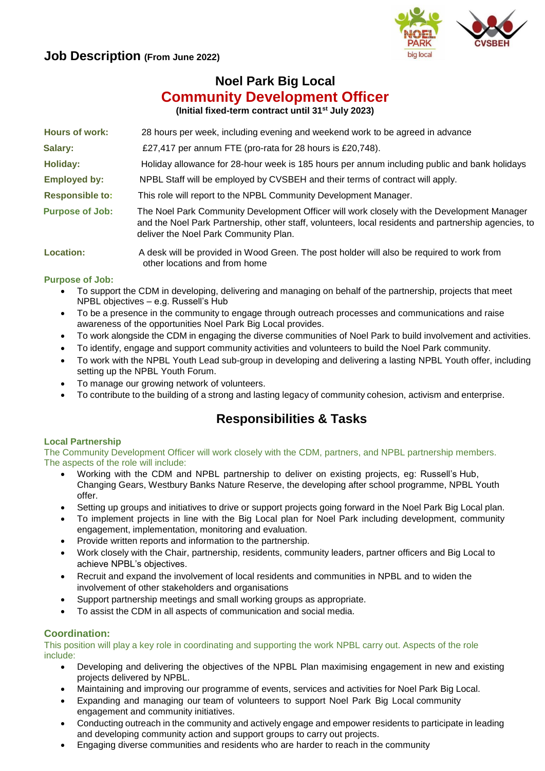## **Job Description (From June 2022)**



# **Noel Park Big Local Community Development Officer**

**(Initial fixed-term contract until 31st July 2023)**

| <b>Hours of work:</b>  | 28 hours per week, including evening and weekend work to be agreed in advance                                                                                                                                                               |
|------------------------|---------------------------------------------------------------------------------------------------------------------------------------------------------------------------------------------------------------------------------------------|
| Salary:                | £27,417 per annum FTE (pro-rata for 28 hours is £20,748).                                                                                                                                                                                   |
| <b>Holiday:</b>        | Holiday allowance for 28-hour week is 185 hours per annum including public and bank holidays                                                                                                                                                |
| <b>Employed by:</b>    | NPBL Staff will be employed by CVSBEH and their terms of contract will apply.                                                                                                                                                               |
| <b>Responsible to:</b> | This role will report to the NPBL Community Development Manager.                                                                                                                                                                            |
| <b>Purpose of Job:</b> | The Noel Park Community Development Officer will work closely with the Development Manager<br>and the Noel Park Partnership, other staff, volunteers, local residents and partnership agencies, to<br>deliver the Noel Park Community Plan. |
| Location:              | A desk will be provided in Wood Green. The post holder will also be required to work from<br>other locations and from home                                                                                                                  |

### **Purpose of Job:**

- To support the CDM in developing, delivering and managing on behalf of the partnership, projects that meet NPBL objectives – e.g. Russell's Hub
- To be a presence in the community to engage through outreach processes and communications and raise awareness of the opportunities Noel Park Big Local provides.
- To work alongside the CDM in engaging the diverse communities of Noel Park to build involvement and activities.
- To identify, engage and support community activities and volunteers to build the Noel Park community.
- To work with the NPBL Youth Lead sub-group in developing and delivering a lasting NPBL Youth offer, including setting up the NPBL Youth Forum.
- To manage our growing network of volunteers.
- To contribute to the building of a strong and lasting legacy of community cohesion, activism and enterprise.

# **Responsibilities & Tasks**

#### **Local Partnership**

The Community Development Officer will work closely with the CDM, partners, and NPBL partnership members. The aspects of the role will include:

- Working with the CDM and NPBL partnership to deliver on existing projects, eg: Russell's Hub, Changing Gears, Westbury Banks Nature Reserve, the developing after school programme, NPBL Youth offer.
- Setting up groups and initiatives to drive or support projects going forward in the Noel Park Big Local plan.
- To implement projects in line with the Big Local plan for Noel Park including development, community engagement, implementation, monitoring and evaluation.
- Provide written reports and information to the partnership.
- Work closely with the Chair, partnership, residents, community leaders, partner officers and Big Local to achieve NPBL's objectives.
- Recruit and expand the involvement of local residents and communities in NPBL and to widen the involvement of other stakeholders and organisations
- Support partnership meetings and small working groups as appropriate.
- To assist the CDM in all aspects of communication and social media.

## **Coordination:**

This position will play a key role in coordinating and supporting the work NPBL carry out. Aspects of the role include:

- Developing and delivering the objectives of the NPBL Plan maximising engagement in new and existing projects delivered by NPBL.
- Maintaining and improving our programme of events, services and activities for Noel Park Big Local.
- Expanding and managing our team of volunteers to support Noel Park Big Local community engagement and community initiatives.
- Conducting outreach in the community and actively engage and empower residents to participate in leading and developing community action and support groups to carry out projects.
- Engaging diverse communities and residents who are harder to reach in the community